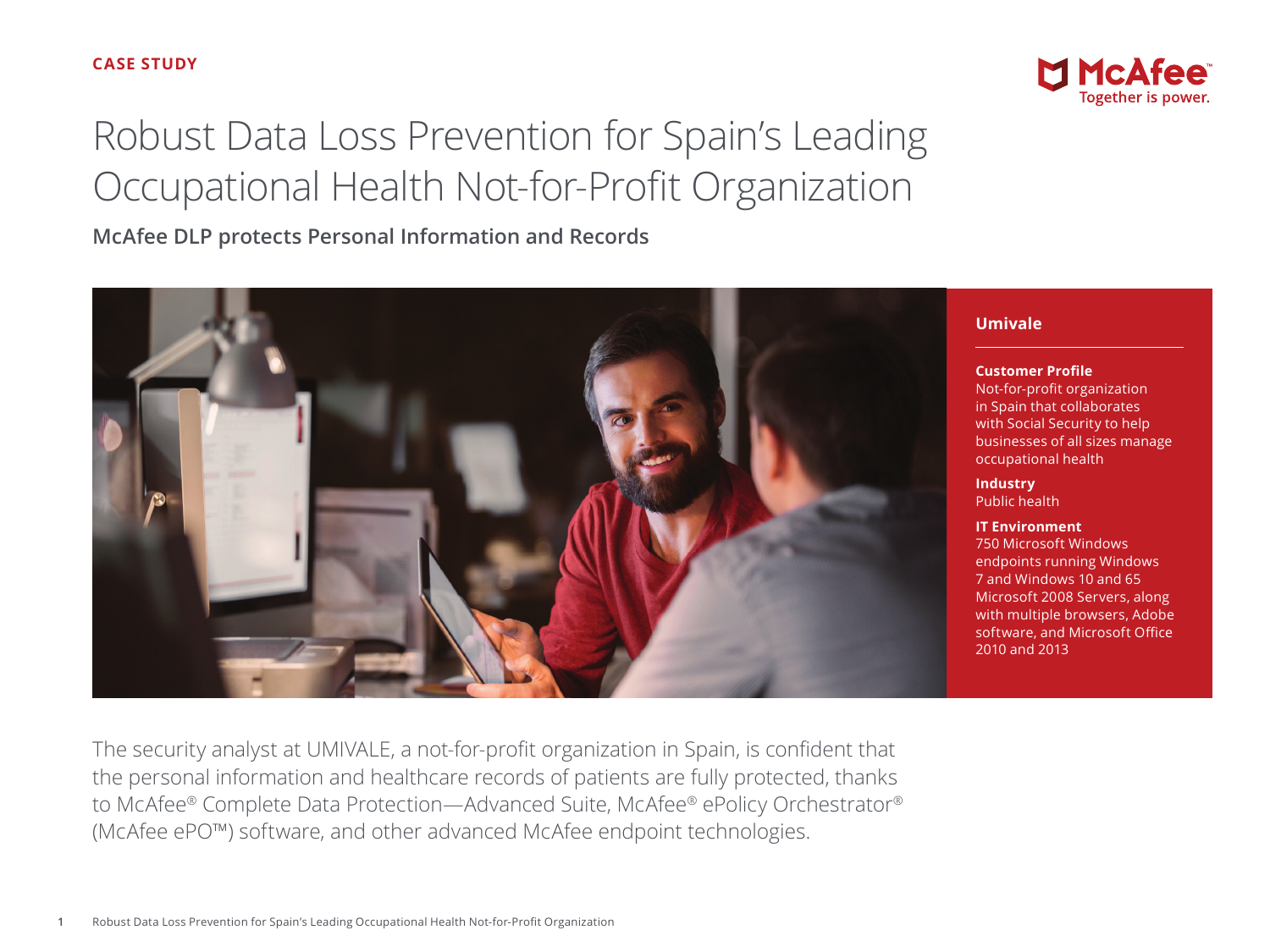# Robust Data Loss Prevention for Spain's Leading Occupational Health Not-for-Profit Organization

**McAfee DLP protects Personal Information and Records**





#### **Umivale**

**Customer Profile**

Not-for-profit organization in Spain that collaborates with Social Security to help businesses of all sizes manage occupational health

**Industry** Public health

#### **IT Environment**

750 Microsoft Windows endpoints running Windows 7 and Windows 10 and 65 Microsoft 2008 Servers, along with multiple browsers, Adobe software, and Microsoft Office 2010 and 2013

The security analyst at UMIVALE, a not-for-profit organization in Spain, is confident that the personal information and healthcare records of patients are fully protected, thanks to McAfee® Complete Data Protection—Advanced Suite, McAfee® ePolicy Orchestrator® (McAfee ePO™) software, and other advanced McAfee endpoint technologies.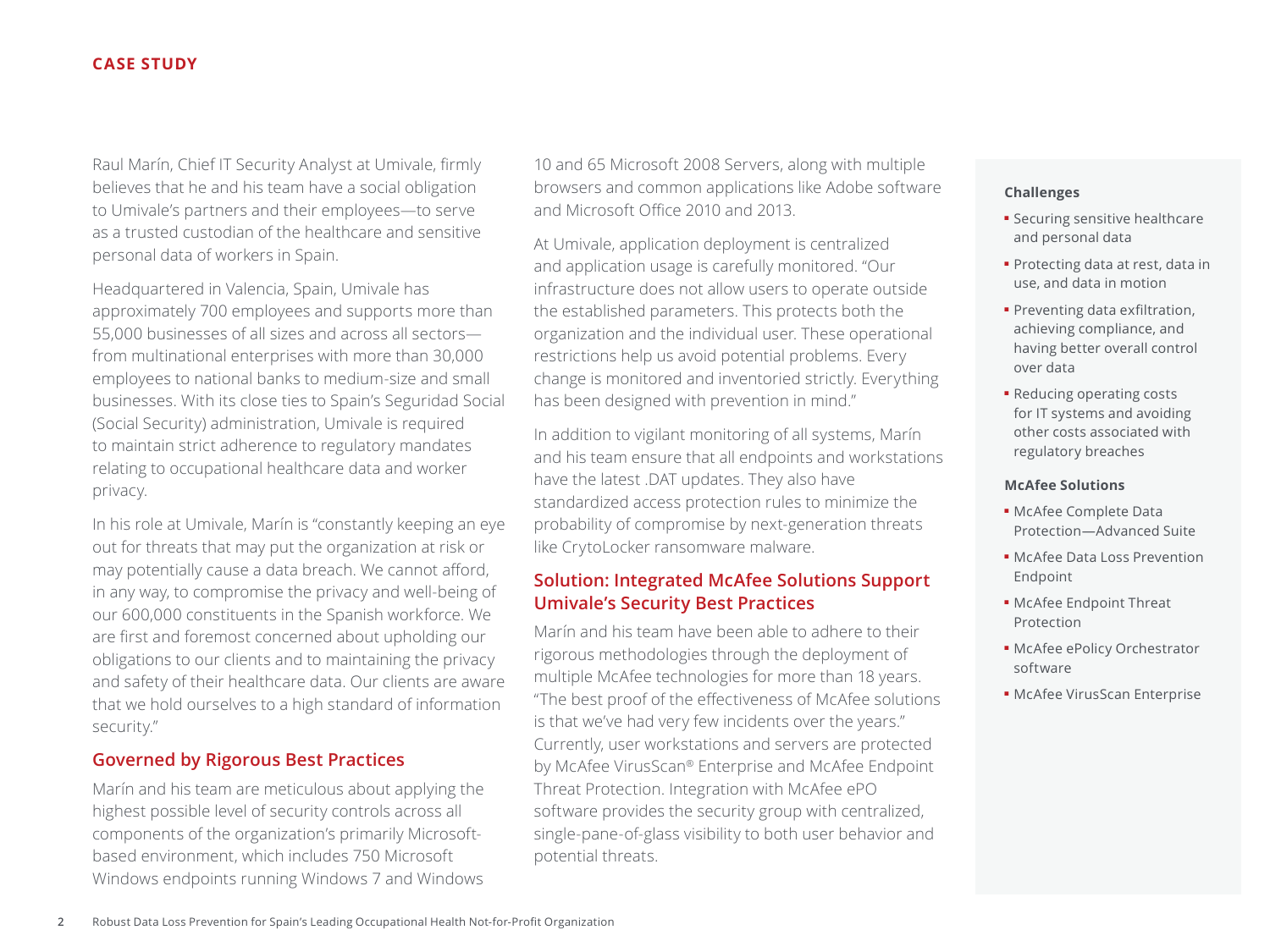## **CASE STUDY**

Raul Marín, Chief IT Security Analyst at Umivale, firmly believes that he and his team have a social obligation to Umivale's partners and their employees—to serve as a trusted custodian of the healthcare and sensitive personal data of workers in Spain.

Headquartered in Valencia, Spain, Umivale has approximately 700 employees and supports more than 55,000 businesses of all sizes and across all sectors from multinational enterprises with more than 30,000 employees to national banks to medium-size and small businesses. With its close ties to Spain's Seguridad Social (Social Security) administration, Umivale is required to maintain strict adherence to regulatory mandates relating to occupational healthcare data and worker privacy.

In his role at Umivale, Marín is "constantly keeping an eye out for threats that may put the organization at risk or may potentially cause a data breach. We cannot afford, in any way, to compromise the privacy and well-being of our 600,000 constituents in the Spanish workforce. We are first and foremost concerned about upholding our obligations to our clients and to maintaining the privacy and safety of their healthcare data. Our clients are aware that we hold ourselves to a high standard of information security."

## **Governed by Rigorous Best Practices**

Marín and his team are meticulous about applying the highest possible level of security controls across all components of the organization's primarily Microsoftbased environment, which includes 750 Microsoft Windows endpoints running Windows 7 and Windows 10 and 65 Microsoft 2008 Servers, along with multiple browsers and common applications like Adobe software and Microsoft Office 2010 and 2013.

At Umivale, application deployment is centralized and application usage is carefully monitored. "Our infrastructure does not allow users to operate outside the established parameters. This protects both the organization and the individual user. These operational restrictions help us avoid potential problems. Every change is monitored and inventoried strictly. Everything has been designed with prevention in mind."

In addition to vigilant monitoring of all systems, Marín and his team ensure that all endpoints and workstations have the latest .DAT updates. They also have standardized access protection rules to minimize the probability of compromise by next-generation threats like CrytoLocker ransomware malware.

## **Solution: Integrated McAfee Solutions Support Umivale's Security Best Practices**

Marín and his team have been able to adhere to their rigorous methodologies through the deployment of multiple McAfee technologies for more than 18 years. "The best proof of the effectiveness of McAfee solutions is that we've had very few incidents over the years." Currently, user workstations and servers are protected by McAfee VirusScan® Enterprise and McAfee Endpoint Threat Protection. Integration with McAfee ePO software provides the security group with centralized, single-pane-of-glass visibility to both user behavior and potential threats.

#### **Challenges**

- Securing sensitive healthcare and personal data
- Protecting data at rest, data in use, and data in motion
- Preventing data exfiltration, achieving compliance, and having better overall control over data
- Reducing operating costs for IT systems and avoiding other costs associated with regulatory breaches

#### **McAfee Solutions**

- McAfee Complete Data Protection—Advanced Suite
- McAfee Data Loss Prevention Endpoint
- McAfee Endpoint Threat Protection
- McAfee ePolicy Orchestrator software
- McAfee VirusScan Enterprise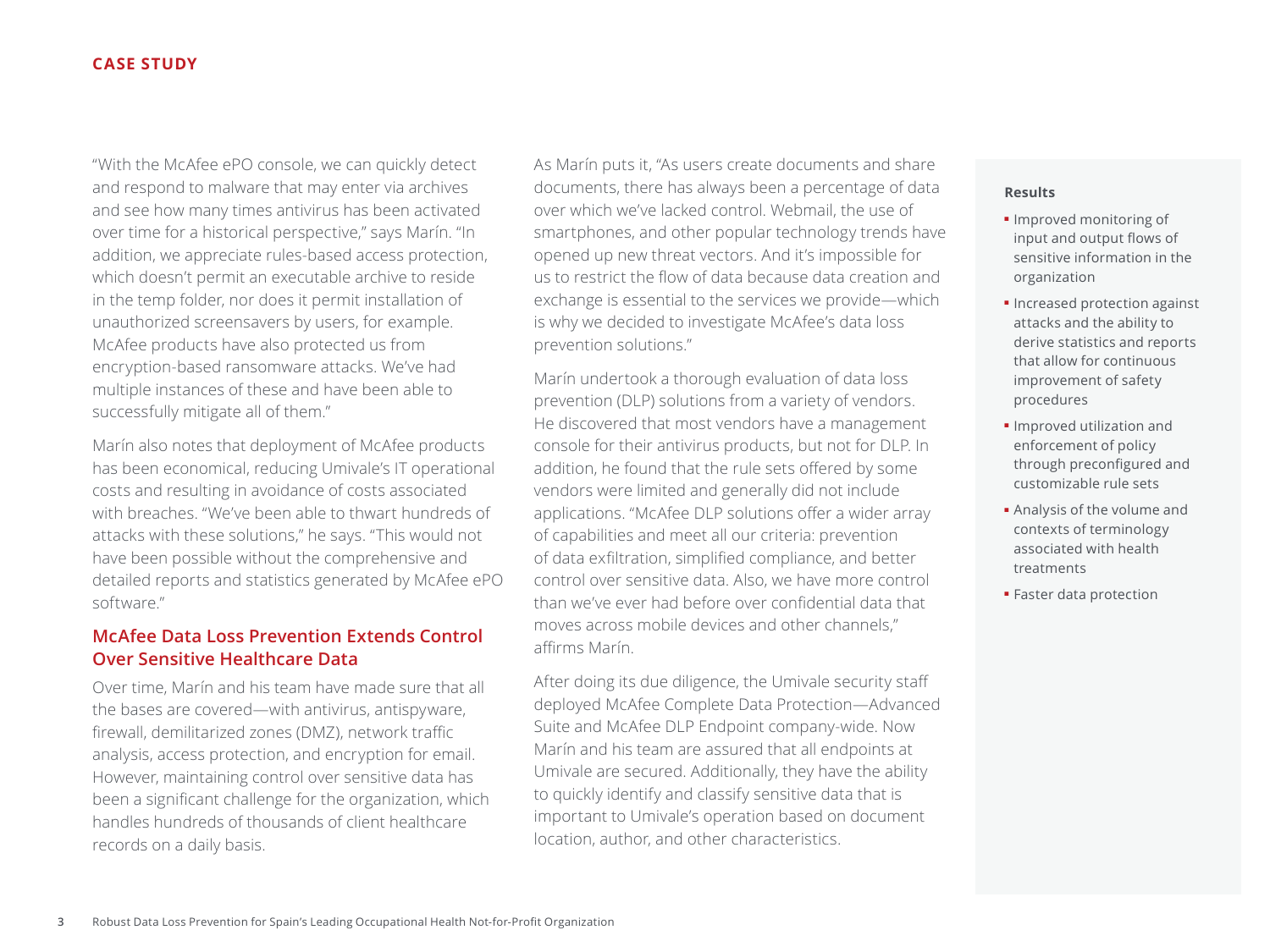## **CASE STUDY**

"With the McAfee ePO console, we can quickly detect and respond to malware that may enter via archives and see how many times antivirus has been activated over time for a historical perspective," says Marín. "In addition, we appreciate rules-based access protection, which doesn't permit an executable archive to reside in the temp folder, nor does it permit installation of unauthorized screensavers by users, for example. McAfee products have also protected us from encryption-based ransomware attacks. We've had multiple instances of these and have been able to successfully mitigate all of them."

Marín also notes that deployment of McAfee products has been economical, reducing Umivale's IT operational costs and resulting in avoidance of costs associated with breaches. "We've been able to thwart hundreds of attacks with these solutions," he says. "This would not have been possible without the comprehensive and detailed reports and statistics generated by McAfee ePO software."

# **McAfee Data Loss Prevention Extends Control Over Sensitive Healthcare Data**

Over time, Marín and his team have made sure that all the bases are covered—with antivirus, antispyware, firewall, demilitarized zones (DMZ), network traffic analysis, access protection, and encryption for email. However, maintaining control over sensitive data has been a significant challenge for the organization, which handles hundreds of thousands of client healthcare records on a daily basis.

As Marín puts it, "As users create documents and share documents, there has always been a percentage of data over which we've lacked control. Webmail, the use of smartphones, and other popular technology trends have opened up new threat vectors. And it's impossible for us to restrict the flow of data because data creation and exchange is essential to the services we provide—which is why we decided to investigate McAfee's data loss prevention solutions."

Marín undertook a thorough evaluation of data loss prevention (DLP) solutions from a variety of vendors. He discovered that most vendors have a management console for their antivirus products, but not for DLP. In addition, he found that the rule sets offered by some vendors were limited and generally did not include applications. "McAfee DLP solutions offer a wider array of capabilities and meet all our criteria: prevention of data exfiltration, simplified compliance, and better control over sensitive data. Also, we have more control than we've ever had before over confidential data that moves across mobile devices and other channels," affirms Marín.

After doing its due diligence, the Umivale security staff deployed McAfee Complete Data Protection—Advanced Suite and McAfee DLP Endpoint company-wide. Now Marín and his team are assured that all endpoints at Umivale are secured. Additionally, they have the ability to quickly identify and classify sensitive data that is important to Umivale's operation based on document location, author, and other characteristics.

#### **Results**

- Improved monitoring of input and output flows of sensitive information in the organization
- Increased protection against attacks and the ability to derive statistics and reports that allow for continuous improvement of safety procedures
- Improved utilization and enforcement of policy through preconfigured and customizable rule sets
- Analysis of the volume and contexts of terminology associated with health treatments
- Faster data protection